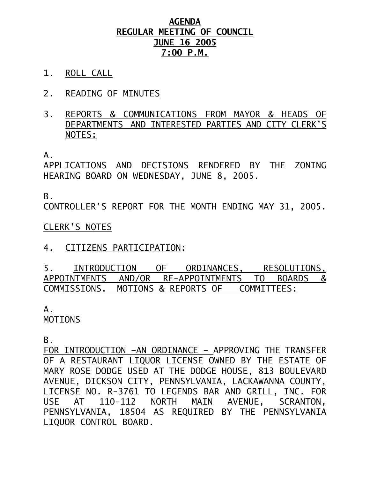#### **AGENDA REGULAR MEETING OF COUNCIL JUNE 16 2005 7:00 P.M.**

- 1. ROLL CALL
- 2. READING OF MINUTES
- 3. REPORTS & COMMUNICATIONS FROM MAYOR & HEADS OF DEPARTMENTS AND INTERESTED PARTIES AND CITY CLERK'S NOTES:

A.

APPLICATIONS AND DECISIONS RENDERED BY THE ZONING HEARING BOARD ON WEDNESDAY, JUNE 8, 2005.

B.

CONTROLLER'S REPORT FOR THE MONTH ENDING MAY 31, 2005.

#### CLERK'S NOTES

4. CITIZENS PARTICIPATION:

5. INTRODUCTION OF ORDINANCES, RESOLUTIONS, APPOINTMENTS AND/OR RE-APPOINTMENTS TO BOARDS & COMMISSIONS. MOTIONS & REPORTS OF COMMITTEES:

# A.

MOTIONS

B.

FOR INTRODUCTION –AN ORDINANCE – APPROVING THE TRANSFER OF A RESTAURANT LIQUOR LICENSE OWNED BY THE ESTATE OF MARY ROSE DODGE USED AT THE DODGE HOUSE, 813 BOULEVARD AVENUE, DICKSON CITY, PENNSYLVANIA, LACKAWANNA COUNTY, LICENSE NO. R-3761 TO LEGENDS BAR AND GRILL, INC. FOR USE AT 110-112 NORTH MAIN AVENUE, SCRANTON, PENNSYLVANIA, 18504 AS REQUIRED BY THE PENNSYLVANIA LIQUOR CONTROL BOARD.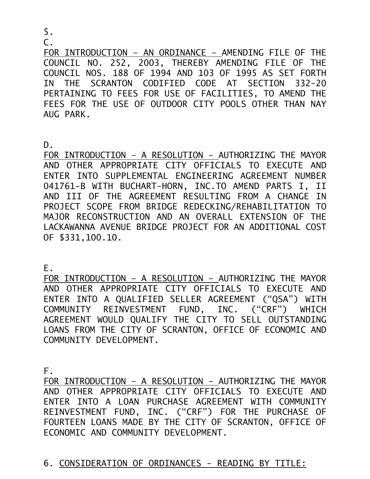5.

C.

FOR INTRODUCTION – AN ORDINANCE – AMENDING FILE OF THE COUNCIL NO. 252, 2003, THEREBY AMENDING FILE OF THE COUNCIL NOS. 188 OF 1994 AND 103 OF 1995 AS SET FORTH IN THE SCRANTON CODIFIED CODE AT SECTION 332-20 PERTAINING TO FEES FOR USE OF FACILITIES, TO AMEND THE FEES FOR THE USE OF OUTDOOR CITY POOLS OTHER THAN NAY AUG PARK.

 $D<sub>-</sub>$ 

FOR INTRODUCTION – A RESOLUTION – AUTHORIZING THE MAYOR AND OTHER APPROPRIATE CITY OFFICIALS TO EXECUTE AND ENTER INTO SUPPLEMENTAL ENGINEERING AGREEMENT NUMBER 041761-B WITH BUCHART-HORN, INC.TO AMEND PARTS I, II AND III OF THE AGREEMENT RESULTING FROM A CHANGE IN PROJECT SCOPE FROM BRIDGE REDECKING/REHABILITATION TO MAJOR RECONSTRUCTION AND AN OVERALL EXTENSION OF THE LACKAWANNA AVENUE BRIDGE PROJECT FOR AN ADDITIONAL COST OF \$331,100.10.

E.

FOR INTRODUCTION – A RESOLUTION – AUTHORIZING THE MAYOR AND OTHER APPROPRIATE CITY OFFICIALS TO EXECUTE AND ENTER INTO A QUALIFIED SELLER AGREEMENT ("QSA") WITH COMMUNITY REINVESTMENT FUND, INC. ("CRF") WHICH AGREEMENT WOULD QUALIFY THE CITY TO SELL OUTSTANDING LOANS FROM THE CITY OF SCRANTON, OFFICE OF ECONOMIC AND COMMUNITY DEVELOPMENT.

F.

FOR INTRODUCTION – A RESOLUTION – AUTHORIZING THE MAYOR AND OTHER APPROPRIATE CITY OFFICIALS TO EXECUTE AND ENTER INTO A LOAN PURCHASE AGREEMENT WITH COMMUNITY REINVESTMENT FUND, INC. ("CRF") FOR THE PURCHASE OF FOURTEEN LOANS MADE BY THE CITY OF SCRANTON, OFFICE OF ECONOMIC AND COMMUNITY DEVELOPMENT.

# 6. CONSIDERATION OF ORDINANCES - READING BY TITLE: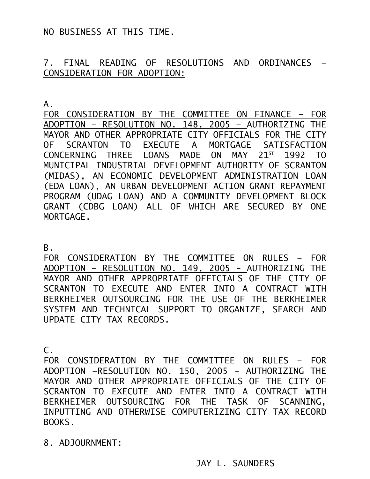NO BUSINESS AT THIS TIME.

#### 7. FINAL READING OF RESOLUTIONS AND ORDINANCES – CONSIDERATION FOR ADOPTION:

A.

FOR CONSIDERATION BY THE COMMITTEE ON FINANCE – FOR ADOPTION – RESOLUTION NO. 148, 2005 – AUTHORIZING THE MAYOR AND OTHER APPROPRIATE CITY OFFICIALS FOR THE CITY OF SCRANTON TO EXECUTE A MORTGAGE SATISFACTION CONCERNING THREE LOANS MADE ON MAY 21<sup>ST</sup> 1992 TO MUNICIPAL INDUSTRIAL DEVELOPMENT AUTHORITY OF SCRANTON (MIDAS), AN ECONOMIC DEVELOPMENT ADMINISTRATION LOAN (EDA LOAN), AN URBAN DEVELOPMENT ACTION GRANT REPAYMENT PROGRAM (UDAG LOAN) AND A COMMUNITY DEVELOPMENT BLOCK GRANT (CDBG LOAN) ALL OF WHICH ARE SECURED BY ONE MORTGAGE.

B.

FOR CONSIDERATION BY THE COMMITTEE ON RULES - FOR ADOPTION – RESOLUTION NO. 149, 2005 - AUTHORIZING THE MAYOR AND OTHER APPROPRIATE OFFICIALS OF THE CITY OF SCRANTON TO EXECUTE AND ENTER INTO A CONTRACT WITH BERKHEIMER OUTSOURCING FOR THE USE OF THE BERKHEIMER SYSTEM AND TECHNICAL SUPPORT TO ORGANIZE, SEARCH AND UPDATE CITY TAX RECORDS.

C.

FOR CONSIDERATION BY THE COMMITTEE ON RULES – FOR ADOPTION –RESOLUTION NO. 150, 2005 - AUTHORIZING THE MAYOR AND OTHER APPROPRIATE OFFICIALS OF THE CITY OF SCRANTON TO EXECUTE AND ENTER INTO A CONTRACT WITH BERKHEIMER OUTSOURCING FOR THE TASK OF SCANNING, INPUTTING AND OTHERWISE COMPUTERIZING CITY TAX RECORD BOOKS.

8. ADJOURNMENT: